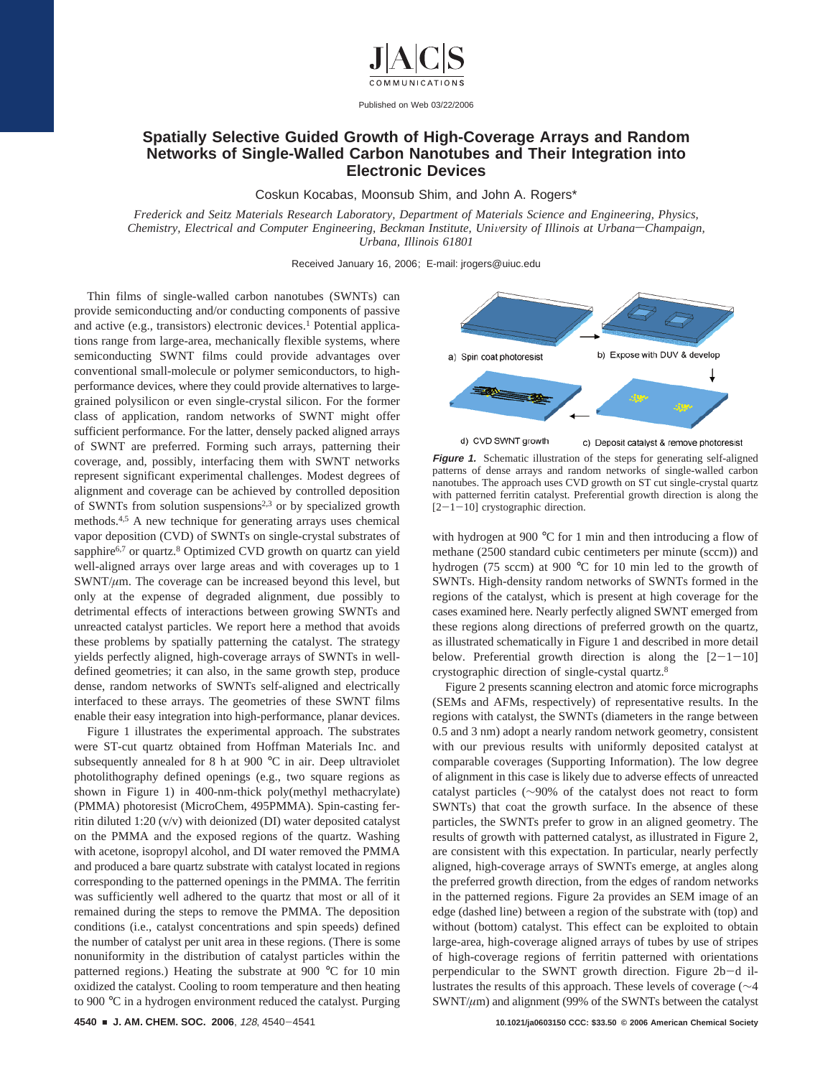

Published on Web 03/22/2006

## **Spatially Selective Guided Growth of High-Coverage Arrays and Random Networks of Single-Walled Carbon Nanotubes and Their Integration into Electronic Devices**

Coskun Kocabas, Moonsub Shim, and John A. Rogers\*

*Frederick and Seitz Materials Research Laboratory, Department of Materials Science and Engineering, Physics, Chemistry, Electrical and Computer Engineering, Beckman Institute, University of Illinois at Urbana–Champaign, Urbana, Illinois 61801*

Received January 16, 2006; E-mail: jrogers@uiuc.edu

Thin films of single-walled carbon nanotubes (SWNTs) can provide semiconducting and/or conducting components of passive and active (e.g., transistors) electronic devices.<sup>1</sup> Potential applications range from large-area, mechanically flexible systems, where semiconducting SWNT films could provide advantages over conventional small-molecule or polymer semiconductors, to highperformance devices, where they could provide alternatives to largegrained polysilicon or even single-crystal silicon. For the former class of application, random networks of SWNT might offer sufficient performance. For the latter, densely packed aligned arrays of SWNT are preferred. Forming such arrays, patterning their coverage, and, possibly, interfacing them with SWNT networks represent significant experimental challenges. Modest degrees of alignment and coverage can be achieved by controlled deposition of SWNTs from solution suspensions<sup>2,3</sup> or by specialized growth methods.4,5 A new technique for generating arrays uses chemical vapor deposition (CVD) of SWNTs on single-crystal substrates of sapphire<sup>6,7</sup> or quartz.<sup>8</sup> Optimized CVD growth on quartz can yield well-aligned arrays over large areas and with coverages up to 1  $SWNT/\mu$ m. The coverage can be increased beyond this level, but only at the expense of degraded alignment, due possibly to detrimental effects of interactions between growing SWNTs and unreacted catalyst particles. We report here a method that avoids these problems by spatially patterning the catalyst. The strategy yields perfectly aligned, high-coverage arrays of SWNTs in welldefined geometries; it can also, in the same growth step, produce dense, random networks of SWNTs self-aligned and electrically interfaced to these arrays. The geometries of these SWNT films enable their easy integration into high-performance, planar devices.

Figure 1 illustrates the experimental approach. The substrates were ST-cut quartz obtained from Hoffman Materials Inc. and subsequently annealed for 8 h at 900 °C in air. Deep ultraviolet photolithography defined openings (e.g., two square regions as shown in Figure 1) in 400-nm-thick poly(methyl methacrylate) (PMMA) photoresist (MicroChem, 495PMMA). Spin-casting ferritin diluted 1:20 (v/v) with deionized (DI) water deposited catalyst on the PMMA and the exposed regions of the quartz. Washing with acetone, isopropyl alcohol, and DI water removed the PMMA and produced a bare quartz substrate with catalyst located in regions corresponding to the patterned openings in the PMMA. The ferritin was sufficiently well adhered to the quartz that most or all of it remained during the steps to remove the PMMA. The deposition conditions (i.e., catalyst concentrations and spin speeds) defined the number of catalyst per unit area in these regions. (There is some nonuniformity in the distribution of catalyst particles within the patterned regions.) Heating the substrate at 900 °C for 10 min oxidized the catalyst. Cooling to room temperature and then heating to 900 °C in a hydrogen environment reduced the catalyst. Purging



**Figure 1.** Schematic illustration of the steps for generating self-aligned patterns of dense arrays and random networks of single-walled carbon nanotubes. The approach uses CVD growth on ST cut single-crystal quartz with patterned ferritin catalyst. Preferential growth direction is along the  $[2-1-10]$  crystographic direction.

with hydrogen at 900 °C for 1 min and then introducing a flow of methane (2500 standard cubic centimeters per minute (sccm)) and hydrogen (75 sccm) at 900 °C for 10 min led to the growth of SWNTs. High-density random networks of SWNTs formed in the regions of the catalyst, which is present at high coverage for the cases examined here. Nearly perfectly aligned SWNT emerged from these regions along directions of preferred growth on the quartz, as illustrated schematically in Figure 1 and described in more detail below. Preferential growth direction is along the  $[2-1-10]$ crystographic direction of single-cystal quartz.8

Figure 2 presents scanning electron and atomic force micrographs (SEMs and AFMs, respectively) of representative results. In the regions with catalyst, the SWNTs (diameters in the range between 0.5 and 3 nm) adopt a nearly random network geometry, consistent with our previous results with uniformly deposited catalyst at comparable coverages (Supporting Information). The low degree of alignment in this case is likely due to adverse effects of unreacted catalyst particles (∼90% of the catalyst does not react to form SWNTs) that coat the growth surface. In the absence of these particles, the SWNTs prefer to grow in an aligned geometry. The results of growth with patterned catalyst, as illustrated in Figure 2, are consistent with this expectation. In particular, nearly perfectly aligned, high-coverage arrays of SWNTs emerge, at angles along the preferred growth direction, from the edges of random networks in the patterned regions. Figure 2a provides an SEM image of an edge (dashed line) between a region of the substrate with (top) and without (bottom) catalyst. This effect can be exploited to obtain large-area, high-coverage aligned arrays of tubes by use of stripes of high-coverage regions of ferritin patterned with orientations perpendicular to the SWNT growth direction. Figure 2b-d illustrates the results of this approach. These levels of coverage (∼4 SWNT/ $\mu$ m) and alignment (99% of the SWNTs between the catalyst